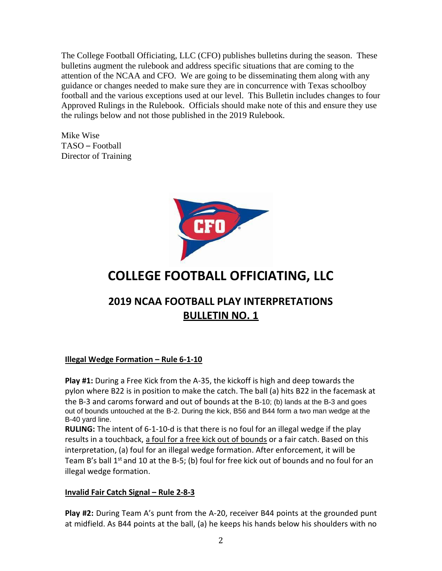The College Football Officiating, LLC (CFO) publishes bulletins during the season. These bulletins augment the rulebook and address specific situations that are coming to the attention of the NCAA and CFO. We are going to be disseminating them along with any guidance or changes needed to make sure they are in concurrence with Texas schoolboy football and the various exceptions used at our level. This Bulletin includes changes to four Approved Rulings in the Rulebook. Officials should make note of this and ensure they use the rulings below and not those published in the 2019 Rulebook.

Mike Wise TASO – Football Director of Training



# **COLLEGE FOOTBALL OFFICIATING, LLC**

# **2019 NCAA FOOTBALL PLAY INTERPRETATIONS BULLETIN NO. 1**

#### **Illegal Wedge Formation – Rule 6-1-10**

**Play #1:** During a Free Kick from the A-35, the kickoff is high and deep towards the pylon where B22 is in position to make the catch. The ball (a) hits B22 in the facemask at the B-3 and caroms forward and out of bounds at the B-10; (b) lands at the B-3 and goes out of bounds untouched at the B-2. During the kick, B56 and B44 form a two man wedge at the B-40 yard line.

**RULING:** The intent of 6-1-10-d is that there is no foul for an illegal wedge if the play results in a touchback, a foul for a free kick out of bounds or a fair catch. Based on this interpretation, (a) foul for an illegal wedge formation. After enforcement, it will be Team B's ball  $1<sup>st</sup>$  and 10 at the B-5; (b) foul for free kick out of bounds and no foul for an illegal wedge formation.

#### **Invalid Fair Catch Signal – Rule 2-8-3**

**Play #2:** During Team A's punt from the A-20, receiver B44 points at the grounded punt at midfield. As B44 points at the ball, (a) he keeps his hands below his shoulders with no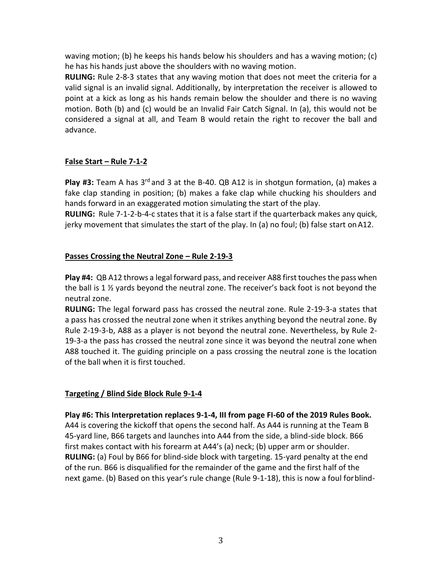waving motion; (b) he keeps his hands below his shoulders and has a waving motion; (c) he has his hands just above the shoulders with no waving motion.

**RULING:** Rule 2-8-3 states that any waving motion that does not meet the criteria for a valid signal is an invalid signal. Additionally, by interpretation the receiver is allowed to point at a kick as long as his hands remain below the shoulder and there is no waving motion. Both (b) and (c) would be an Invalid Fair Catch Signal. In (a), this would not be considered a signal at all, and Team B would retain the right to recover the ball and advance.

### **False Start – Rule 7-1-2**

**Play #3:** Team A has 3<sup>rd</sup> and 3 at the B-40. QB A12 is in shotgun formation, (a) makes a fake clap standing in position; (b) makes a fake clap while chucking his shoulders and hands forward in an exaggerated motion simulating the start of the play.

**RULING:** Rule 7-1-2-b-4-c states that it is a false start if the quarterback makes any quick, jerky movement that simulates the start of the play. In (a) no foul; (b) false start onA12.

#### **Passes Crossing the Neutral Zone – Rule 2-19-3**

**Play #4:** QB A12 throws a legal forward pass, and receiver A88 first touches the pass when the ball is 1 ½ yards beyond the neutral zone. The receiver's back foot is not beyond the neutral zone.

**RULING:** The legal forward pass has crossed the neutral zone. Rule 2-19-3-a states that a pass has crossed the neutral zone when it strikes anything beyond the neutral zone. By Rule 2-19-3-b, A88 as a player is not beyond the neutral zone. Nevertheless, by Rule 2- 19-3-a the pass has crossed the neutral zone since it was beyond the neutral zone when A88 touched it. The guiding principle on a pass crossing the neutral zone is the location of the ball when it is first touched.

### **Targeting / Blind Side Block Rule 9-1-4**

**Play #6: This Interpretation replaces 9-1-4, III from page FI-60 of the 2019 Rules Book.**  A44 is covering the kickoff that opens the second half. As A44 is running at the Team B 45-yard line, B66 targets and launches into A44 from the side, a blind-side block. B66 first makes contact with his forearm at A44's (a) neck; (b) upper arm or shoulder. **RULING:** (a) Foul by B66 for blind-side block with targeting. 15-yard penalty at the end of the run. B66 is disqualified for the remainder of the game and the first half of the next game. (b) Based on this year's rule change (Rule 9-1-18), this is now a foul forblind